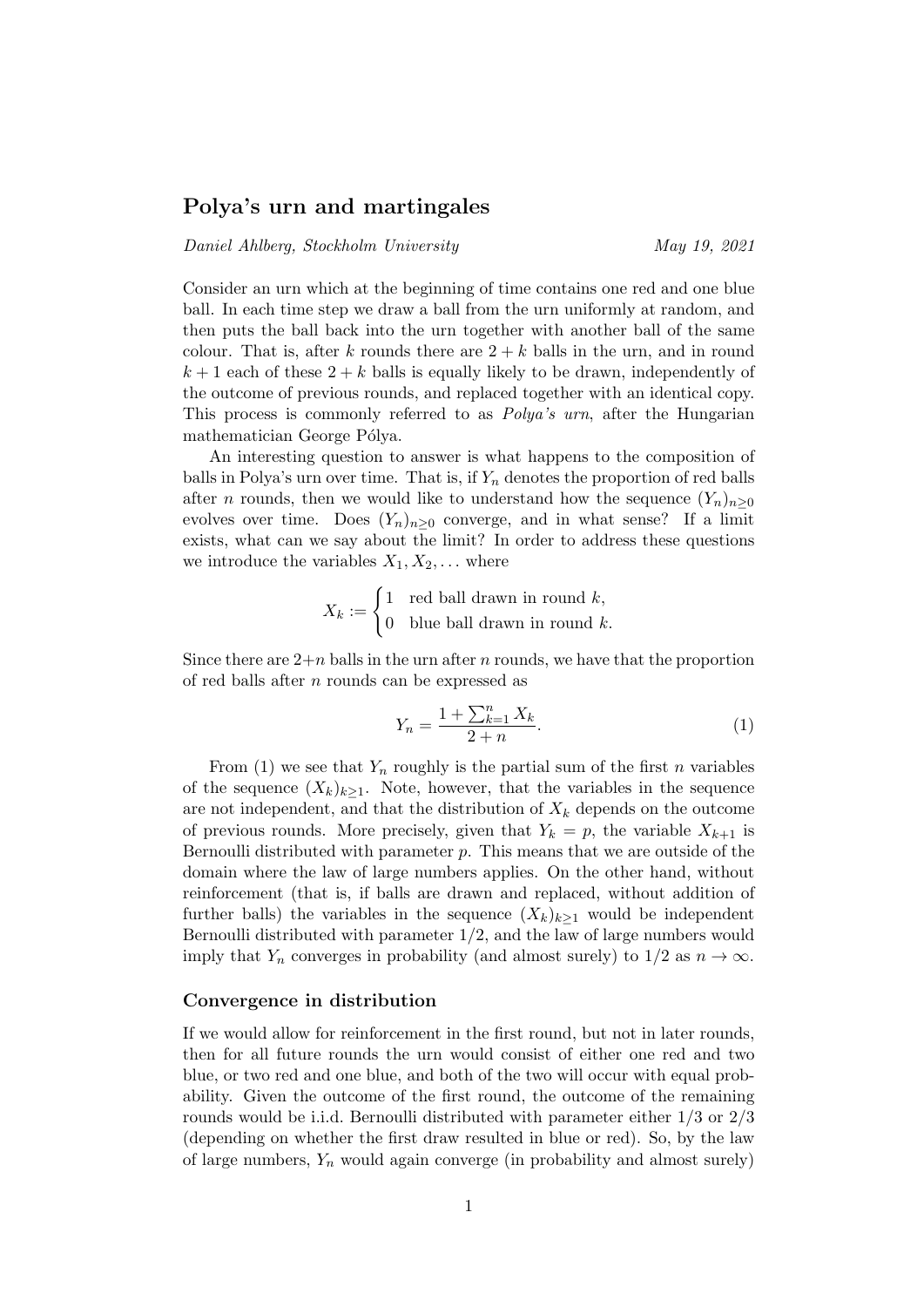## Polya's urn and martingales

### Daniel Ahlberg, Stockholm University May 19, 2021

Consider an urn which at the beginning of time contains one red and one blue ball. In each time step we draw a ball from the urn uniformly at random, and then puts the ball back into the urn together with another ball of the same colour. That is, after k rounds there are  $2 + k$  balls in the urn, and in round  $k+1$  each of these  $2+k$  balls is equally likely to be drawn, independently of the outcome of previous rounds, and replaced together with an identical copy. This process is commonly referred to as Polya's urn, after the Hungarian mathematician George Pólya.

An interesting question to answer is what happens to the composition of balls in Polya's urn over time. That is, if  $Y_n$  denotes the proportion of red balls after *n* rounds, then we would like to understand how the sequence  $(Y_n)_{n>0}$ evolves over time. Does  $(Y_n)_{n>0}$  converge, and in what sense? If a limit exists, what can we say about the limit? In order to address these questions we introduce the variables  $X_1, X_2, \ldots$  where

$$
X_k := \begin{cases} 1 & \text{red ball drawn in round } k, \\ 0 & \text{blue ball drawn in round } k. \end{cases}
$$

Since there are  $2+n$  balls in the urn after n rounds, we have that the proportion of red balls after n rounds can be expressed as

$$
Y_n = \frac{1 + \sum_{k=1}^n X_k}{2 + n}.\tag{1}
$$

From (1) we see that  $Y_n$  roughly is the partial sum of the first n variables of the sequence  $(X_k)_{k>1}$ . Note, however, that the variables in the sequence are not independent, and that the distribution of  $X_k$  depends on the outcome of previous rounds. More precisely, given that  $Y_k = p$ , the variable  $X_{k+1}$  is Bernoulli distributed with parameter  $p$ . This means that we are outside of the domain where the law of large numbers applies. On the other hand, without reinforcement (that is, if balls are drawn and replaced, without addition of further balls) the variables in the sequence  $(X_k)_{k>1}$  would be independent Bernoulli distributed with parameter 1/2, and the law of large numbers would imply that  $Y_n$  converges in probability (and almost surely) to  $1/2$  as  $n \to \infty$ .

#### Convergence in distribution

If we would allow for reinforcement in the first round, but not in later rounds, then for all future rounds the urn would consist of either one red and two blue, or two red and one blue, and both of the two will occur with equal probability. Given the outcome of the first round, the outcome of the remaining rounds would be i.i.d. Bernoulli distributed with parameter either 1/3 or 2/3 (depending on whether the first draw resulted in blue or red). So, by the law of large numbers,  $Y_n$  would again converge (in probability and almost surely)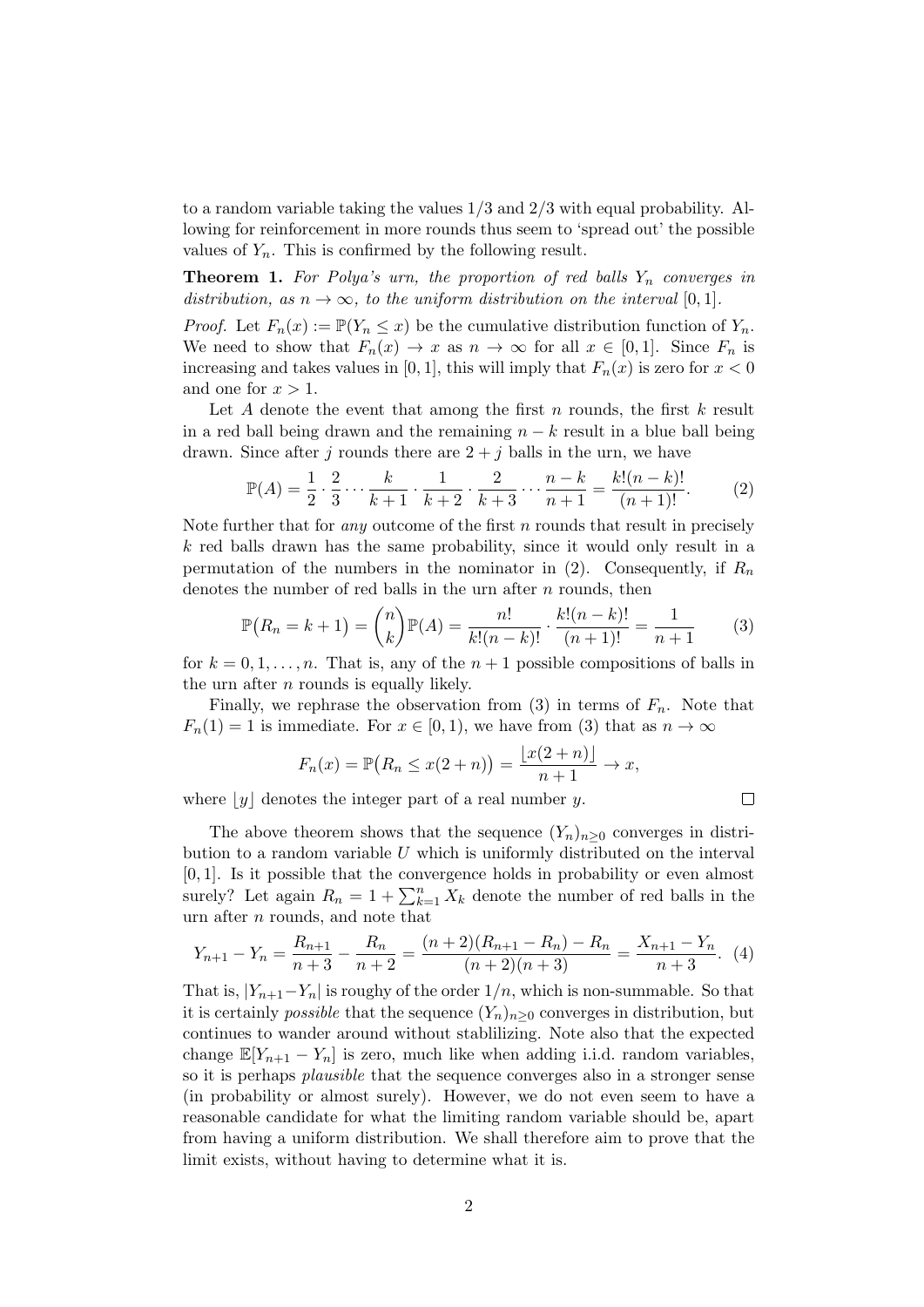to a random variable taking the values 1/3 and 2/3 with equal probability. Allowing for reinforcement in more rounds thus seem to 'spread out' the possible values of  $Y_n$ . This is confirmed by the following result.

**Theorem 1.** For Polya's urn, the proportion of red balls  $Y_n$  converges in distribution, as  $n \to \infty$ , to the uniform distribution on the interval [0,1].

*Proof.* Let  $F_n(x) := \mathbb{P}(Y_n \leq x)$  be the cumulative distribution function of  $Y_n$ . We need to show that  $F_n(x) \to x$  as  $n \to \infty$  for all  $x \in [0,1]$ . Since  $F_n$  is increasing and takes values in [0, 1], this will imply that  $F_n(x)$  is zero for  $x < 0$ and one for  $x > 1$ .

Let A denote the event that among the first n rounds, the first  $k$  result in a red ball being drawn and the remaining  $n - k$  result in a blue ball being drawn. Since after j rounds there are  $2 + i$  balls in the urn, we have

$$
\mathbb{P}(A) = \frac{1}{2} \cdot \frac{2}{3} \cdots \frac{k}{k+1} \cdot \frac{1}{k+2} \cdot \frac{2}{k+3} \cdots \frac{n-k}{n+1} = \frac{k!(n-k)!}{(n+1)!}.
$$
 (2)

Note further that for *any* outcome of the first n rounds that result in precisely k red balls drawn has the same probability, since it would only result in a permutation of the numbers in the nominator in (2). Consequently, if  $R_n$ denotes the number of red balls in the urn after  $n$  rounds, then

$$
\mathbb{P}(R_n = k+1) = {n \choose k} \mathbb{P}(A) = \frac{n!}{k!(n-k)!} \cdot \frac{k!(n-k)!}{(n+1)!} = \frac{1}{n+1}
$$
(3)

 $\Box$ 

for  $k = 0, 1, \ldots, n$ . That is, any of the  $n + 1$  possible compositions of balls in the urn after  $n$  rounds is equally likely.

Finally, we rephrase the observation from (3) in terms of  $F_n$ . Note that  $F_n(1) = 1$  is immediate. For  $x \in [0, 1)$ , we have from (3) that as  $n \to \infty$ 

$$
F_n(x) = \mathbb{P}(R_n \le x(2+n)) = \frac{\lfloor x(2+n) \rfloor}{n+1} \to x,
$$

where  $|y|$  denotes the integer part of a real number y.

The above theorem shows that the sequence  $(Y_n)_{n\geq 0}$  converges in distribution to a random variable  $U$  which is uniformly distributed on the interval [0, 1]. Is it possible that the convergence holds in probability or even almost surely? Let again  $R_n = 1 + \sum_{k=1}^n X_k$  denote the number of red balls in the urn after n rounds, and note that

$$
Y_{n+1} - Y_n = \frac{R_{n+1}}{n+3} - \frac{R_n}{n+2} = \frac{(n+2)(R_{n+1} - R_n) - R_n}{(n+2)(n+3)} = \frac{X_{n+1} - Y_n}{n+3}.
$$
 (4)

That is,  $|Y_{n+1}-Y_n|$  is roughy of the order  $1/n$ , which is non-summable. So that it is certainly *possible* that the sequence  $(Y_n)_{n>0}$  converges in distribution, but continues to wander around without stablilizing. Note also that the expected change  $\mathbb{E}[Y_{n+1} - Y_n]$  is zero, much like when adding i.i.d. random variables, so it is perhaps plausible that the sequence converges also in a stronger sense (in probability or almost surely). However, we do not even seem to have a reasonable candidate for what the limiting random variable should be, apart from having a uniform distribution. We shall therefore aim to prove that the limit exists, without having to determine what it is.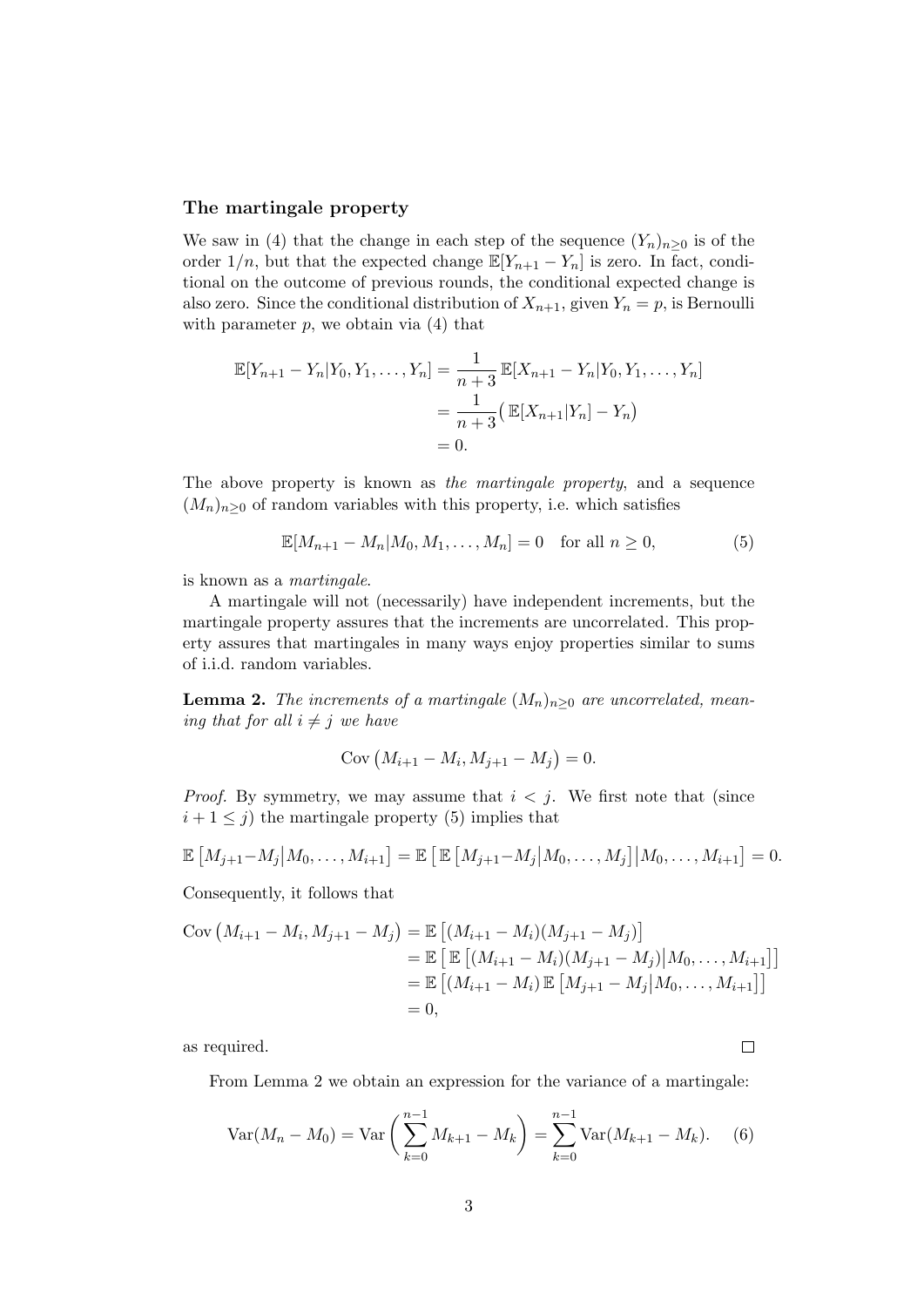#### The martingale property

We saw in (4) that the change in each step of the sequence  $(Y_n)_{n>0}$  is of the order  $1/n$ , but that the expected change  $\mathbb{E}[Y_{n+1} - Y_n]$  is zero. In fact, conditional on the outcome of previous rounds, the conditional expected change is also zero. Since the conditional distribution of  $X_{n+1}$ , given  $Y_n = p$ , is Bernoulli with parameter  $p$ , we obtain via  $(4)$  that

$$
\mathbb{E}[Y_{n+1} - Y_n | Y_0, Y_1, \dots, Y_n] = \frac{1}{n+3} \mathbb{E}[X_{n+1} - Y_n | Y_0, Y_1, \dots, Y_n]
$$
  
= 
$$
\frac{1}{n+3} (\mathbb{E}[X_{n+1} | Y_n] - Y_n)
$$
  
= 0.

The above property is known as the martingale property, and a sequence  $(M_n)_{n\geq 0}$  of random variables with this property, i.e. which satisfies

$$
\mathbb{E}[M_{n+1} - M_n | M_0, M_1, \dots, M_n] = 0 \quad \text{for all } n \ge 0,
$$
 (5)

is known as a martingale.

A martingale will not (necessarily) have independent increments, but the martingale property assures that the increments are uncorrelated. This property assures that martingales in many ways enjoy properties similar to sums of i.i.d. random variables.

**Lemma 2.** The increments of a martingale  $(M_n)_{n\geq 0}$  are uncorrelated, meaning that for all  $i \neq j$  we have

$$
Cov (M_{i+1} - M_i, M_{j+1} - M_j) = 0.
$$

*Proof.* By symmetry, we may assume that  $i < j$ . We first note that (since  $i + 1 \leq j$ ) the martingale property (5) implies that

$$
\mathbb{E}\left[M_{j+1}-M_j\big|M_0,\ldots,M_{i+1}\right] = \mathbb{E}\left[\mathbb{E}\left[M_{j+1}-M_j\big|M_0,\ldots,M_j\right]\big|M_0,\ldots,M_{i+1}\right] = 0.
$$

Consequently, it follows that

$$
Cov (M_{i+1} - M_i, M_{j+1} - M_j) = \mathbb{E} [(M_{i+1} - M_i)(M_{j+1} - M_j)]
$$
  
\n
$$
= \mathbb{E} [\mathbb{E} [(M_{i+1} - M_i)(M_{j+1} - M_j)|M_0, ..., M_{i+1}]]
$$
  
\n
$$
= \mathbb{E} [(M_{i+1} - M_i) \mathbb{E} [M_{j+1} - M_j|M_0, ..., M_{i+1}]]
$$
  
\n
$$
= 0,
$$

as required.

From Lemma 2 we obtain an expression for the variance of a martingale:

$$
Var(M_n - M_0) = Var\left(\sum_{k=0}^{n-1} M_{k+1} - M_k\right) = \sum_{k=0}^{n-1} Var(M_{k+1} - M_k).
$$
 (6)

 $\Box$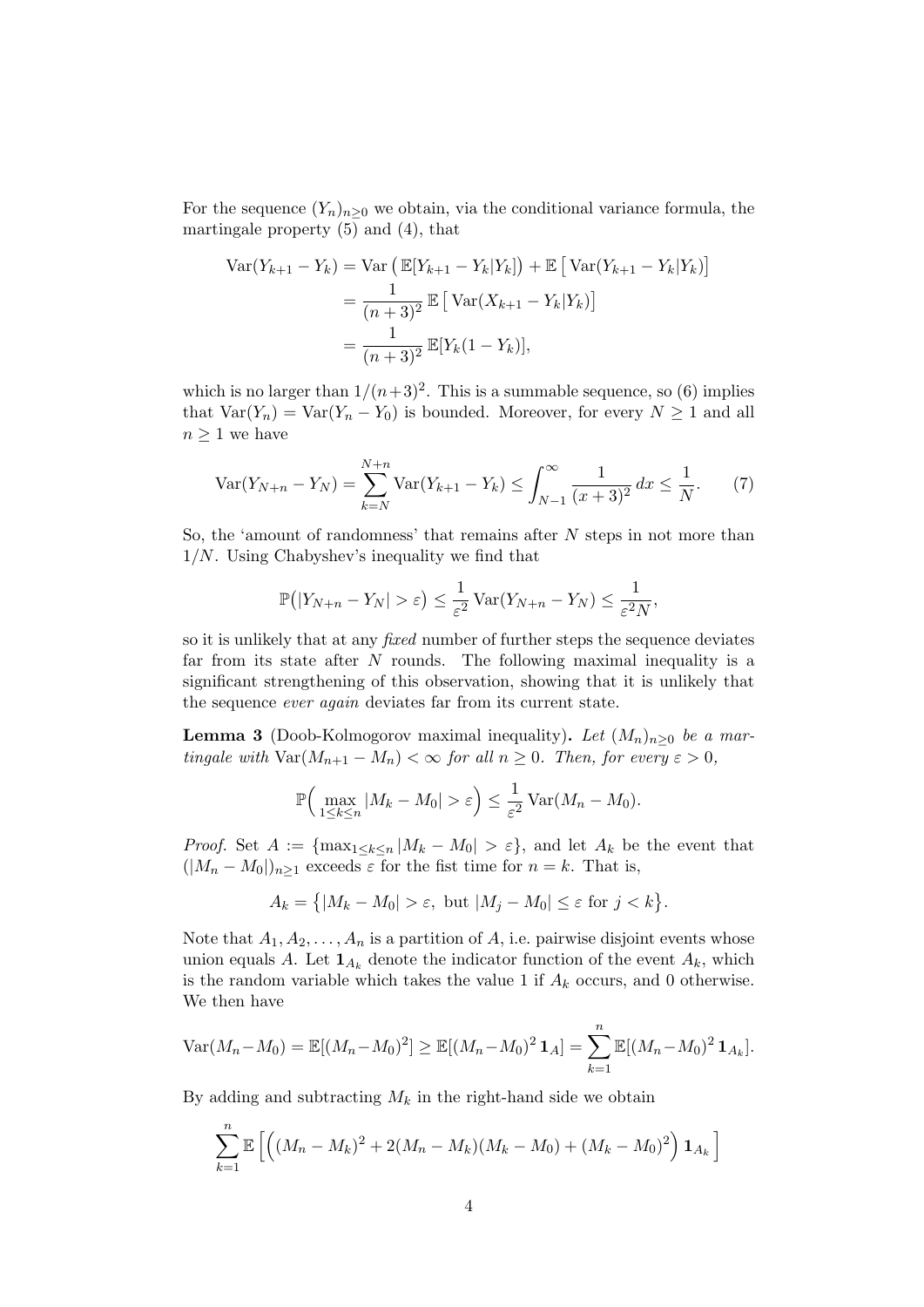For the sequence  $(Y_n)_{n\geq 0}$  we obtain, via the conditional variance formula, the martingale property (5) and (4), that

$$
\begin{aligned} \text{Var}(Y_{k+1} - Y_k) &= \text{Var}\left(\mathbb{E}[Y_{k+1} - Y_k | Y_k]\right) + \mathbb{E}\left[\text{Var}(Y_{k+1} - Y_k | Y_k)\right] \\ &= \frac{1}{(n+3)^2} \mathbb{E}\left[\text{Var}(X_{k+1} - Y_k | Y_k)\right] \\ &= \frac{1}{(n+3)^2} \mathbb{E}[Y_k(1 - Y_k)], \end{aligned}
$$

which is no larger than  $1/(n+3)^2$ . This is a summable sequence, so (6) implies that  $Var(Y_n) = Var(Y_n - Y_0)$  is bounded. Moreover, for every  $N \ge 1$  and all  $n \geq 1$  we have

$$
\text{Var}(Y_{N+n} - Y_N) = \sum_{k=N}^{N+n} \text{Var}(Y_{k+1} - Y_k) \le \int_{N-1}^{\infty} \frac{1}{(x+3)^2} \, dx \le \frac{1}{N}.\tag{7}
$$

So, the 'amount of randomness' that remains after  $N$  steps in not more than  $1/N$ . Using Chabyshev's inequality we find that

$$
\mathbb{P}\big(|Y_{N+n}-Y_N|>\varepsilon\big)\leq \frac{1}{\varepsilon^2}\operatorname{Var}(Y_{N+n}-Y_N)\leq \frac{1}{\varepsilon^2N},
$$

so it is unlikely that at any fixed number of further steps the sequence deviates far from its state after  $N$  rounds. The following maximal inequality is a significant strengthening of this observation, showing that it is unlikely that the sequence ever again deviates far from its current state.

**Lemma 3** (Doob-Kolmogorov maximal inequality). Let  $(M_n)_{n\geq 0}$  be a martingale with  $\text{Var}(M_{n+1} - M_n) < \infty$  for all  $n \geq 0$ . Then, for every  $\varepsilon > 0$ ,

$$
\mathbb{P}\Big(\max_{1\leq k\leq n}|M_k-M_0|>\varepsilon\Big)\leq \frac{1}{\varepsilon^2}\operatorname{Var}(M_n-M_0).
$$

*Proof.* Set  $A := \{ \max_{1 \leq k \leq n} |M_k - M_0| > \varepsilon \}$ , and let  $A_k$  be the event that  $(|M_n - M_0|)_{n \geq 1}$  exceeds  $\varepsilon$  for the fist time for  $n = k$ . That is,

$$
A_k = \{ |M_k - M_0| > \varepsilon, \text{ but } |M_j - M_0| \le \varepsilon \text{ for } j < k \}.
$$

Note that  $A_1, A_2, \ldots, A_n$  is a partition of A, i.e. pairwise disjoint events whose union equals A. Let  $\mathbf{1}_{A_k}$  denote the indicator function of the event  $A_k$ , which is the random variable which takes the value 1 if  $A_k$  occurs, and 0 otherwise. We then have

$$
\text{Var}(M_n - M_0) = \mathbb{E}[(M_n - M_0)^2] \ge \mathbb{E}[(M_n - M_0)^2 \mathbf{1}_A] = \sum_{k=1}^n \mathbb{E}[(M_n - M_0)^2 \mathbf{1}_{A_k}].
$$

By adding and subtracting  $M_k$  in the right-hand side we obtain

$$
\sum_{k=1}^{n} \mathbb{E}\left[ \left( (M_n - M_k)^2 + 2(M_n - M_k)(M_k - M_0) + (M_k - M_0)^2 \right) \mathbf{1}_{A_k} \right]
$$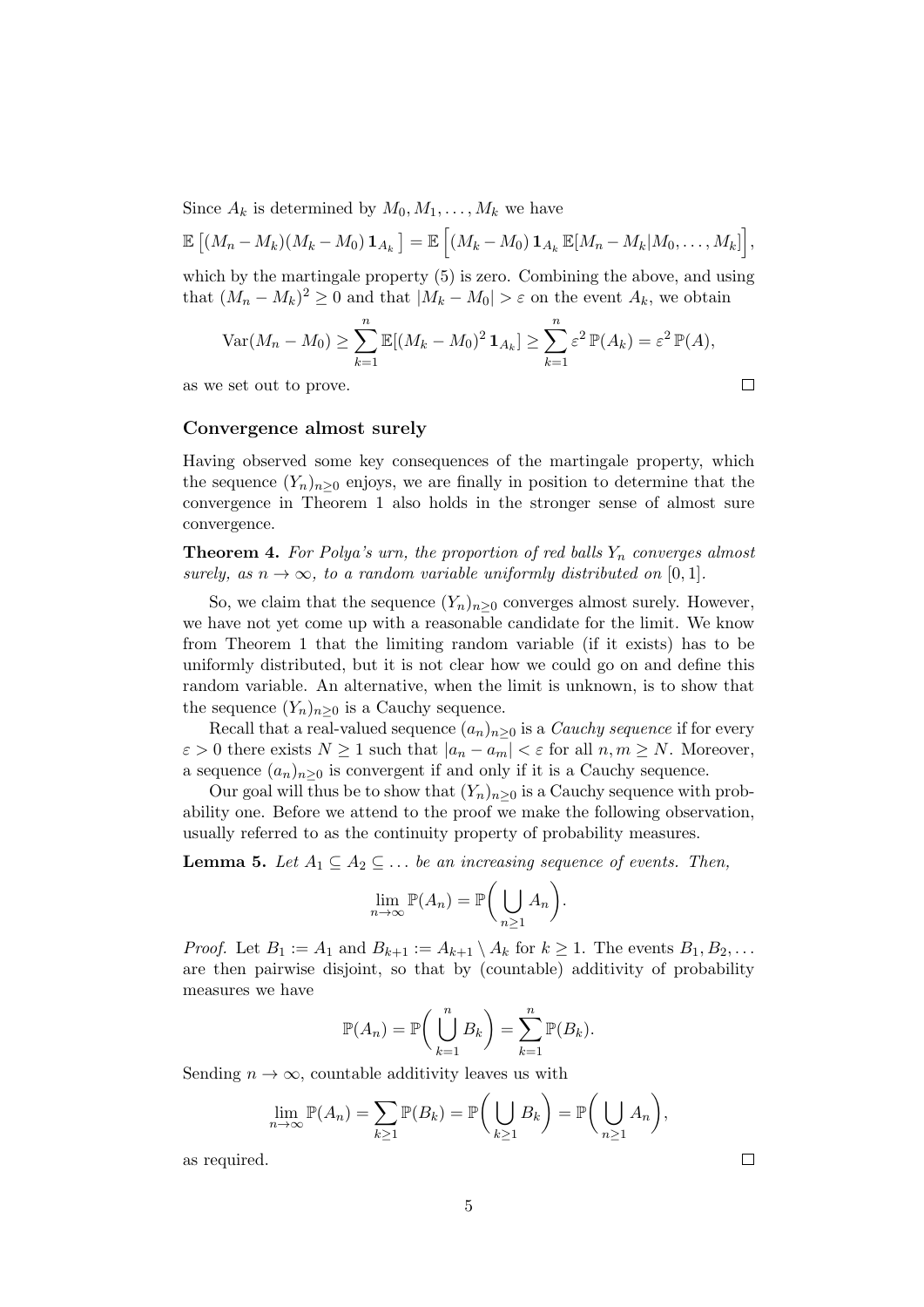Since  $A_k$  is determined by  $M_0, M_1, \ldots, M_k$  we have

$$
\mathbb{E}\left[ (M_n - M_k)(M_k - M_0) \mathbf{1}_{A_k} \right] = \mathbb{E}\left[ (M_k - M_0) \mathbf{1}_{A_k} \mathbb{E}[M_n - M_k|M_0, \ldots, M_k] \right],
$$

which by the martingale property (5) is zero. Combining the above, and using that  $(M_n - M_k)^2 \geq 0$  and that  $|M_k - M_0| > \varepsilon$  on the event  $A_k$ , we obtain

$$
\operatorname{Var}(M_n - M_0) \ge \sum_{k=1}^n \mathbb{E}[(M_k - M_0)^2 \mathbf{1}_{A_k}] \ge \sum_{k=1}^n \varepsilon^2 \mathbb{P}(A_k) = \varepsilon^2 \mathbb{P}(A),
$$
  
Let out to prove.

as we set out to prove.

Convergence almost surely

Having observed some key consequences of the martingale property, which the sequence  $(Y_n)_{n>0}$  enjoys, we are finally in position to determine that the convergence in Theorem 1 also holds in the stronger sense of almost sure convergence.

**Theorem 4.** For Polya's urn, the proportion of red balls  $Y_n$  converges almost surely, as  $n \to \infty$ , to a random variable uniformly distributed on [0, 1].

So, we claim that the sequence  $(Y_n)_{n>0}$  converges almost surely. However, we have not yet come up with a reasonable candidate for the limit. We know from Theorem 1 that the limiting random variable (if it exists) has to be uniformly distributed, but it is not clear how we could go on and define this random variable. An alternative, when the limit is unknown, is to show that the sequence  $(Y_n)_{n\geq 0}$  is a Cauchy sequence.

Recall that a real-valued sequence  $(a_n)_{n>0}$  is a *Cauchy sequence* if for every  $\varepsilon > 0$  there exists  $N \ge 1$  such that  $|a_n - a_m| < \varepsilon$  for all  $n, m \ge N$ . Moreover, a sequence  $(a_n)_{n>0}$  is convergent if and only if it is a Cauchy sequence.

Our goal will thus be to show that  $(Y_n)_{n\geq 0}$  is a Cauchy sequence with probability one. Before we attend to the proof we make the following observation, usually referred to as the continuity property of probability measures.

**Lemma 5.** Let  $A_1 \subseteq A_2 \subseteq \ldots$  be an increasing sequence of events. Then,

$$
\lim_{n \to \infty} \mathbb{P}(A_n) = \mathbb{P}\bigg(\bigcup_{n \ge 1} A_n\bigg).
$$

*Proof.* Let  $B_1 := A_1$  and  $B_{k+1} := A_{k+1} \setminus A_k$  for  $k \geq 1$ . The events  $B_1, B_2, \ldots$ are then pairwise disjoint, so that by (countable) additivity of probability measures we have

$$
\mathbb{P}(A_n) = \mathbb{P}\bigg(\bigcup_{k=1}^n B_k\bigg) = \sum_{k=1}^n \mathbb{P}(B_k).
$$

Sending  $n \to \infty$ , countable additivity leaves us with

$$
\lim_{n \to \infty} \mathbb{P}(A_n) = \sum_{k \ge 1} \mathbb{P}(B_k) = \mathbb{P}\bigg(\bigcup_{k \ge 1} B_k\bigg) = \mathbb{P}\bigg(\bigcup_{n \ge 1} A_n\bigg),
$$

as required.

 $\Box$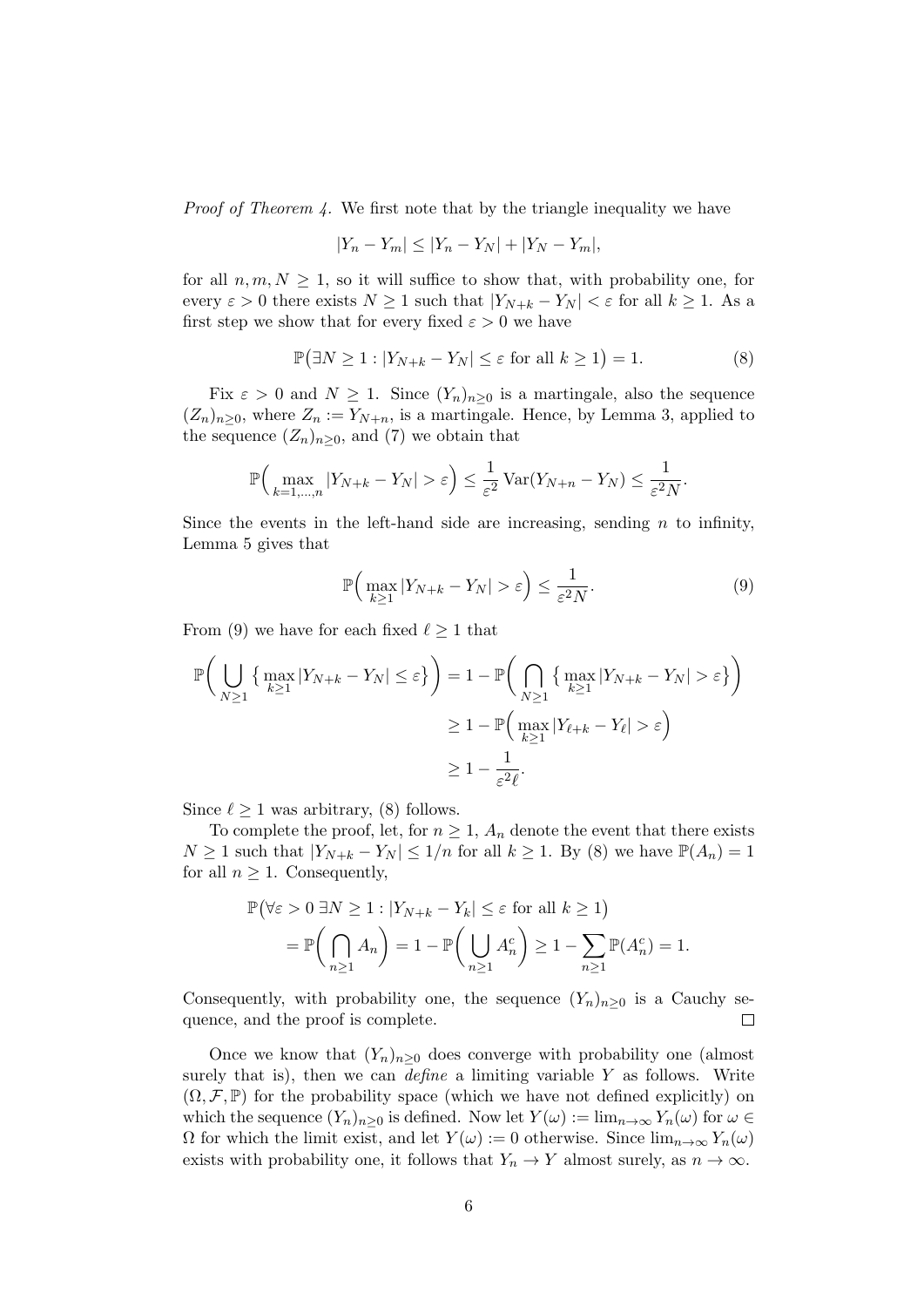Proof of Theorem 4. We first note that by the triangle inequality we have

$$
|Y_n - Y_m| \le |Y_n - Y_N| + |Y_N - Y_m|,
$$

for all  $n, m, N > 1$ , so it will suffice to show that, with probability one, for every  $\varepsilon > 0$  there exists  $N \ge 1$  such that  $|Y_{N+k} - Y_N| < \varepsilon$  for all  $k \ge 1$ . As a first step we show that for every fixed  $\varepsilon > 0$  we have

$$
\mathbb{P}(\exists N \ge 1 : |Y_{N+k} - Y_N| \le \varepsilon \text{ for all } k \ge 1) = 1.
$$
 (8)

Fix  $\varepsilon > 0$  and  $N \geq 1$ . Since  $(Y_n)_{n \geq 0}$  is a martingale, also the sequence  $(Z_n)_{n\geq 0}$ , where  $Z_n := Y_{N+n}$ , is a martingale. Hence, by Lemma 3, applied to the sequence  $(Z_n)_{n\geq 0}$ , and (7) we obtain that

$$
\mathbb{P}\Big(\max_{k=1,\dots,n}|Y_{N+k}-Y_N|>\varepsilon\Big)\leq \frac{1}{\varepsilon^2}\operatorname{Var}(Y_{N+n}-Y_N)\leq \frac{1}{\varepsilon^2N}.
$$

Since the events in the left-hand side are increasing, sending  $n$  to infinity, Lemma 5 gives that

$$
\mathbb{P}\Big(\max_{k\geq 1}|Y_{N+k}-Y_N|>\varepsilon\Big)\leq \frac{1}{\varepsilon^2N}.\tag{9}
$$

From (9) we have for each fixed  $\ell \geq 1$  that

$$
\mathbb{P}\bigg(\bigcup_{N\geq 1}\left\{\max_{k\geq 1}|Y_{N+k}-Y_N|\leq \varepsilon\right\}\bigg)=1-\mathbb{P}\bigg(\bigcap_{N\geq 1}\left\{\max_{k\geq 1}|Y_{N+k}-Y_N|>\varepsilon\right\}\bigg)
$$

$$
\geq 1-\mathbb{P}\bigg(\max_{k\geq 1}|Y_{\ell+k}-Y_{\ell}|>\varepsilon\bigg)
$$

$$
\geq 1-\frac{1}{\varepsilon^2\ell}.
$$

Since  $\ell > 1$  was arbitrary, (8) follows.

To complete the proof, let, for  $n \geq 1$ ,  $A_n$  denote the event that there exists  $N \geq 1$  such that  $|Y_{N+k} - Y_N| \leq 1/n$  for all  $k \geq 1$ . By (8) we have  $\mathbb{P}(A_n) = 1$ for all  $n \geq 1$ . Consequently,

$$
\mathbb{P}(\forall \varepsilon > 0 \ \exists N \ge 1 : |Y_{N+k} - Y_k| \le \varepsilon \text{ for all } k \ge 1)
$$
  
= 
$$
\mathbb{P}\left(\bigcap_{n\ge 1} A_n\right) = 1 - \mathbb{P}\left(\bigcup_{n\ge 1} A_n^c\right) \ge 1 - \sum_{n\ge 1} \mathbb{P}(A_n^c) = 1.
$$

Consequently, with probability one, the sequence  $(Y_n)_{n\geq 0}$  is a Cauchy sequence, and the proof is complete.  $\Box$ 

Once we know that  $(Y_n)_{n\geq 0}$  does converge with probability one (almost surely that is), then we can *define* a limiting variable  $Y$  as follows. Write  $(\Omega, \mathcal{F}, \mathbb{P})$  for the probability space (which we have not defined explicitly) on which the sequence  $(Y_n)_{n>0}$  is defined. Now let  $Y(\omega) := \lim_{n \to \infty} Y_n(\omega)$  for  $\omega \in$  $\Omega$  for which the limit exist, and let  $Y(\omega) := 0$  otherwise. Since  $\lim_{n\to\infty} Y_n(\omega)$ exists with probability one, it follows that  $Y_n \to Y$  almost surely, as  $n \to \infty$ .